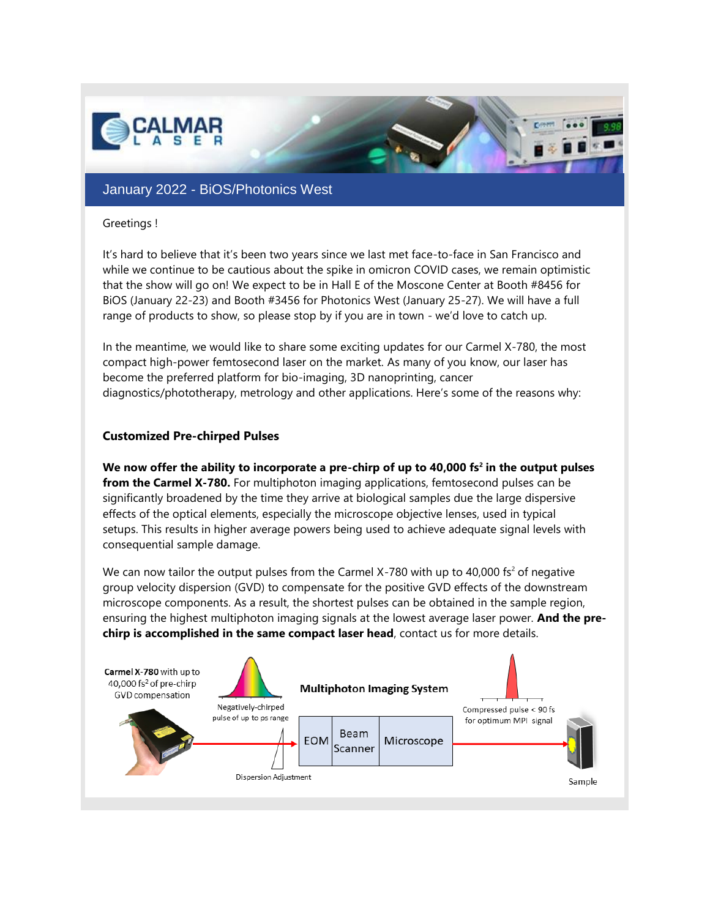

## January 2022 - BiOS/Photonics West

#### Greetings !

It's hard to believe that it's been two years since we last met face-to-face in San Francisco and while we continue to be cautious about the spike in omicron COVID cases, we remain optimistic that the show will go on! We expect to be in Hall E of the Moscone Center at Booth #8456 for BiOS (January 22-23) and Booth #3456 for Photonics West (January 25-27). We will have a full range of products to show, so please stop by if you are in town - we'd love to catch up.

In the meantime, we would like to share some exciting updates for our Carmel X-780, the most compact high-power femtosecond laser on the market. As many of you know, our laser has become the preferred platform for bio-imaging, 3D nanoprinting, cancer diagnostics/phototherapy, metrology and other applications. Here's some of the reasons why:

### **Customized Pre-chirped Pulses**

**We now offer the ability to incorporate a pre-chirp of up to 40,000 fs<sup>2</sup> in the output pulses from the Carmel X-780.** For multiphoton imaging applications, femtosecond pulses can be significantly broadened by the time they arrive at biological samples due the large dispersive effects of the optical elements, especially the microscope objective lenses, used in typical setups. This results in higher average powers being used to achieve adequate signal levels with consequential sample damage.

We can now tailor the output pulses from the Carmel X-780 with up to 40,000 fs<sup>2</sup> of negative group velocity dispersion (GVD) to compensate for the positive GVD effects of the downstream microscope components. As a result, the shortest pulses can be obtained in the sample region, ensuring the highest multiphoton imaging signals at the lowest average laser power. **And the prechirp is accomplished in the same compact laser head**, contact us for more details.

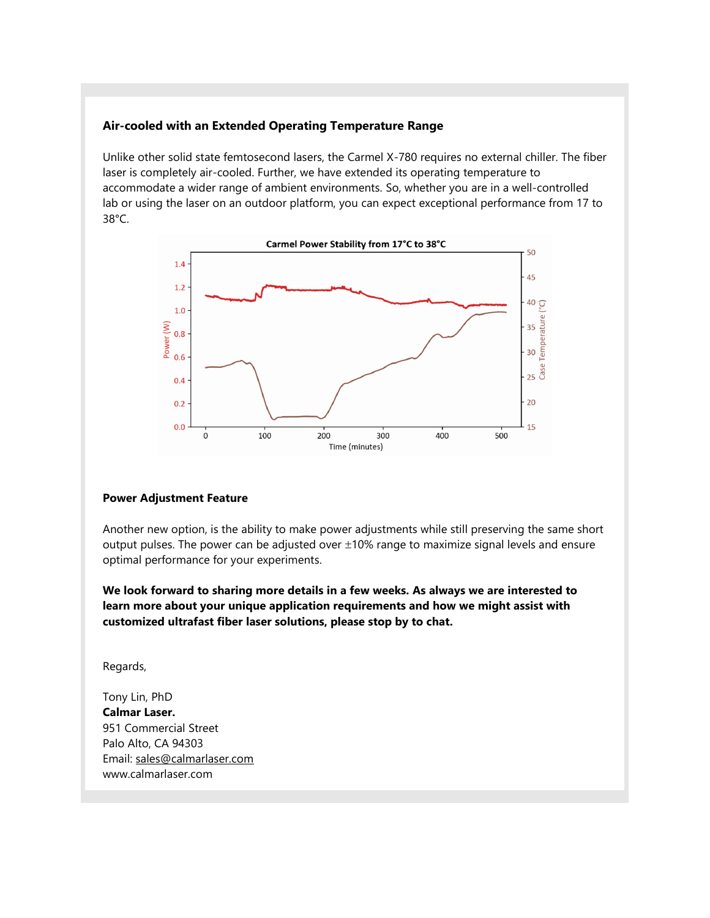### **Air-cooled with an Extended Operating Temperature Range**

Unlike other solid state femtosecond lasers, the Carmel X-780 requires no external chiller. The fiber laser is completely air-cooled. Further, we have extended its operating temperature to accommodate a wider range of ambient environments. So, whether you are in a well-controlled lab or using the laser on an outdoor platform, you can expect exceptional performance from 17 to 38°C.



#### **Power Adjustment Feature**

Another new option, is the ability to make power adjustments while still preserving the same short output pulses. The power can be adjusted over  $\pm 10\%$  range to maximize signal levels and ensure optimal performance for your experiments.

**We look forward to sharing more details in a few weeks. As always we are interested to learn more about your unique application requirements and how we might assist with customized ultrafast fiber laser solutions, please stop by to chat.**

Regards,

Tony Lin, PhD **Calmar Laser.** 951 Commercial Street Palo Alto, CA 94303 Email: [sales@calmarlaser.com](mailto:sales@calmarlaser.com) [www.calmarlaser.com](http://www.calmarlaser.com/)